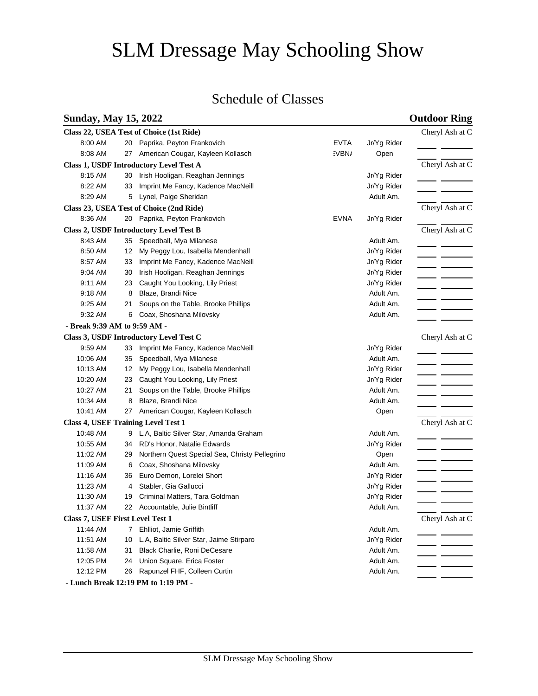# SLM Dressage May Schooling Show

# Schedule of Classes

## **Sunday, May 15, 2022 Outdoor Ring**

|                                                               |                              |    | Class 22, USEA Test of Choice (1st Ride)       |             |             | Cheryl Ash at C |  |  |
|---------------------------------------------------------------|------------------------------|----|------------------------------------------------|-------------|-------------|-----------------|--|--|
|                                                               | 8:00 AM                      | 20 | Paprika, Peyton Frankovich                     | <b>EVTA</b> | Jr/Yg Rider |                 |  |  |
|                                                               | 8:08 AM                      |    | 27 American Cougar, Kayleen Kollasch           | :VBN/       | Open        |                 |  |  |
| Class 1, USDF Introductory Level Test A                       |                              |    |                                                |             |             |                 |  |  |
|                                                               | 8:15 AM                      | 30 | Irish Hooligan, Reaghan Jennings               |             | Jr/Yg Rider |                 |  |  |
|                                                               | 8:22 AM                      | 33 | Imprint Me Fancy, Kadence MacNeill             |             | Jr/Yg Rider |                 |  |  |
|                                                               | 8:29 AM                      | 5  | Lynel, Paige Sheridan                          |             | Adult Am.   |                 |  |  |
| Class 23, USEA Test of Choice (2nd Ride)                      | Cheryl Ash at C              |    |                                                |             |             |                 |  |  |
|                                                               | 8:36 AM                      |    | 20 Paprika, Peyton Frankovich                  | <b>EVNA</b> | Jr/Yg Rider |                 |  |  |
| Class 2, USDF Introductory Level Test B                       |                              |    |                                                |             |             |                 |  |  |
|                                                               | 8:43 AM                      |    | 35 Speedball, Mya Milanese                     |             | Adult Am.   |                 |  |  |
|                                                               | 8:50 AM                      | 12 | My Peggy Lou, Isabella Mendenhall              |             | Jr/Yg Rider |                 |  |  |
|                                                               | 8:57 AM                      | 33 | Imprint Me Fancy, Kadence MacNeill             |             | Jr/Yg Rider |                 |  |  |
|                                                               | 9:04 AM                      | 30 | Irish Hooligan, Reaghan Jennings               |             | Jr/Yg Rider |                 |  |  |
|                                                               | 9:11 AM                      | 23 | Caught You Looking, Lily Priest                |             | Jr/Yg Rider |                 |  |  |
|                                                               | 9:18 AM                      | 8  | Blaze, Brandi Nice                             |             | Adult Am.   |                 |  |  |
|                                                               | 9:25 AM                      | 21 | Soups on the Table, Brooke Phillips            |             | Adult Am.   |                 |  |  |
|                                                               | 9:32 AM                      |    | 6 Coax, Shoshana Milovsky                      |             | Adult Am.   |                 |  |  |
|                                                               | - Break 9:39 AM to 9:59 AM - |    |                                                |             |             |                 |  |  |
|                                                               |                              |    | Class 3, USDF Introductory Level Test C        |             |             | Cheryl Ash at C |  |  |
|                                                               | 9:59 AM                      |    | 33 Imprint Me Fancy, Kadence MacNeill          |             | Jr/Yg Rider |                 |  |  |
|                                                               | 10:06 AM                     | 35 | Speedball, Mya Milanese                        |             | Adult Am.   |                 |  |  |
|                                                               | 10:13 AM                     |    | 12 My Peggy Lou, Isabella Mendenhall           |             | Jr/Yg Rider |                 |  |  |
|                                                               | 10:20 AM                     |    | 23 Caught You Looking, Lily Priest             |             | Jr/Yg Rider |                 |  |  |
|                                                               | 10:27 AM                     | 21 | Soups on the Table, Brooke Phillips            |             | Adult Am.   |                 |  |  |
|                                                               | 10:34 AM                     | 8  | Blaze, Brandi Nice                             |             | Adult Am.   |                 |  |  |
|                                                               | 10:41 AM                     |    | 27 American Cougar, Kayleen Kollasch           |             | Open        |                 |  |  |
| <b>Class 4, USEF Training Level Test 1</b><br>Cheryl Ash at C |                              |    |                                                |             |             |                 |  |  |
|                                                               | 10:48 AM                     |    | 9 L.A, Baltic Silver Star, Amanda Graham       |             | Adult Am.   |                 |  |  |
|                                                               | 10:55 AM                     |    | 34 RD's Honor, Natalie Edwards                 |             | Jr/Yg Rider |                 |  |  |
|                                                               | 11:02 AM                     | 29 | Northern Quest Special Sea, Christy Pellegrino |             | Open        |                 |  |  |
|                                                               | 11:09 AM                     | 6  | Coax, Shoshana Milovsky                        |             | Adult Am.   |                 |  |  |
|                                                               | 11:16 AM                     | 36 | Euro Demon, Lorelei Short                      |             | Jr/Yg Rider |                 |  |  |
|                                                               | 11:23 AM                     | 4  | Stabler, Gia Gallucci                          |             | Jr/Yg Rider |                 |  |  |
|                                                               | 11:30 AM                     | 19 | Criminal Matters, Tara Goldman                 |             | Jr/Yg Rider |                 |  |  |
|                                                               | 11:37 AM                     |    | 22 Accountable, Julie Bintliff                 |             | Adult Am.   |                 |  |  |
| Class 7, USEF First Level Test 1                              |                              |    |                                                |             |             |                 |  |  |
|                                                               | 11:44 AM                     |    | 7 Ehlliot, Jamie Griffith                      |             | Adult Am.   |                 |  |  |
|                                                               | 11:51 AM                     | 10 | L.A, Baltic Silver Star, Jaime Stirparo        |             | Jr/Yg Rider |                 |  |  |
|                                                               | 11:58 AM                     | 31 | Black Charlie, Roni DeCesare                   |             | Adult Am.   |                 |  |  |
|                                                               | 12:05 PM                     | 24 | Union Square, Erica Foster                     |             | Adult Am.   |                 |  |  |
|                                                               | 12:12 PM                     | 26 | Rapunzel FHF, Colleen Curtin                   |             | Adult Am.   |                 |  |  |

 **- Lunch Break 12:19 PM to 1:19 PM -**